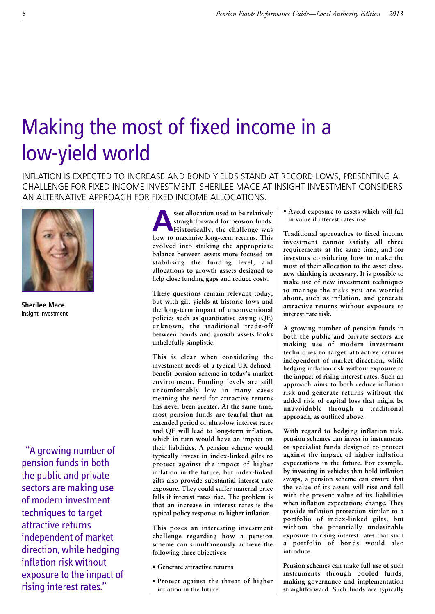## Making the most of fixed income in a low-yield world

INFLATION IS EXPECTED TO INCREASE AND BOND YIELDS STAND AT RECORD LOWS, PRESENTING A CHALLENGE FOR FIXED INCOME INVESTMENT. SHERILEE MACE AT INSIGHT INVESTMENT CONSIDERS AN ALTERNATIVE APPROACH FOR FIXED INCOME ALLOCATIONS.



**Sherilee Mace** Insight Investment

"A growing number of pension funds in both the public and private sectors are making use of modern investment techniques to target attractive returns independent of market direction, while hedging inflation risk without exposure to the impact of rising interest rates."

**A**<br>**A**<br>**A**<br>**A**<br>**Historically,** the challenge was<br>**A**<br>**A**<br>**E**<br>**E**<br>**E**<br>**A**<br>**E**<br>**E**<br>**E**<br>**E**<br>**E**<br>**E**<br>**E**<br>**E straightforward for pension funds. how to maximise long-term returns. This evolved into striking the appropriate balance between assets more focused on stabilising the funding level, and allocations to growth assets designed to help close funding gaps and reduce costs.**

**These questions remain relevant today, but with gilt yields at historic lows and the long-term impact of unconventional policies such as quantitative easing (QE) unknown, the traditional trade-off between bonds and growth assets looks unhelpfully simplistic.**

**This is clear when considering the investment needs of a typical UK definedbenefit pension scheme in today's market environment. Funding levels are still uncomfortably low in many cases meaning the need for attractive returns has never been greater. At the same time, most pension funds are fearful that an extended period of ultra-low interest rates and QE will lead to long-term inflation, which in turn would have an impact on their liabilities. A pension scheme would typically invest in index-linked gilts to protect against the impact of higher inflation in the future, but index-linked gilts also provide substantial interest rate exposure. They could suffer material price falls if interest rates rise. The problem is that an increase in interest rates is the typical policy response to higher inflation.**

**This poses an interesting investment challenge regarding how a pension scheme can simultaneously achieve the following three objectives:**

- **• Generate attractive returns**
- **• Protect against the threat of higher inflation in the future**

**• Avoid exposure to assets which will fall in value if interest rates rise**

**Traditional approaches to fixed income investment cannot satisfy all three requirements at the same time, and for investors considering how to make the most of their allocation to the asset class, new thinking is necessary. It is possible to make use of new investment techniques to manage the risks you are worried about, such as inflation, and generate attractive returns without exposure to interest rate risk.**

**A growing number of pension funds in both the public and private sectors are making use of modern investment techniques to target attractive returns independent of market direction, while hedging inflation risk without exposure to the impact of rising interest rates. Such an approach aims to both reduce inflation risk and generate returns without the added risk of capital loss that might be unavoidable through a traditional approach, as outlined above.**

**With regard to hedging inflation risk, pension schemes can invest in instruments or specialist funds designed to protect against the impact of higher inflation expectations in the future. For example, by investing in vehicles that hold inflation swaps, a pension scheme can ensure that the value of its assets will rise and fall with the present value of its liabilities when inflation expectations change. They provide inflation protection similar to a portfolio of index-linked gilts, but without the potentially undesirable exposure to rising interest rates that such a portfolio of bonds would also introduce.**

**Pension schemes can make full use of such instruments through pooled funds, making governance and implementation straightforward. Such funds are typically**